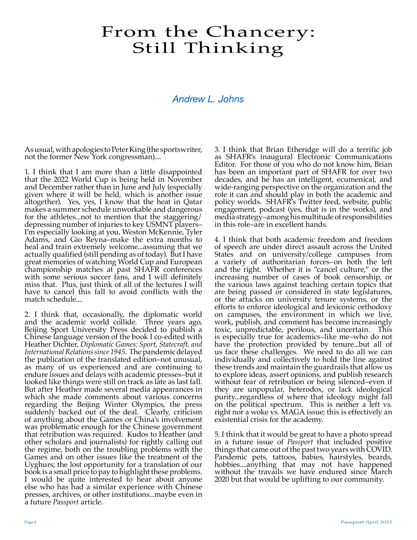# From the Chancery: Still Thinking

### *Andrew L. Johns*

As usual, with apologies to Peter King (the sportswriter, not the former New York congressman)....

1. I think that I am more than a little disappointed that the 2022 World Cup is being held in November and December rather than in June and July (especially given where it will be held, which is another issue altogether). Yes, yes, I know that the heat in Qatar makes a summer schedule unworkable and dangerous for the athletes...not to mention that the staggering/ depressing number of injuries to key USMNT players– I'm especially looking at you, Weston McKennie, Tyler Adams, and Gio Reyna–make the extra months to heal and train extremely welcome...assuming that we actually qualified (still pending as of today). But I have great memories of watching World Cup and European championship matches at past SHAFR conferences with some serious soccer fans, and I will definitely miss that. Plus, just think of all of the lectures I will have to cancel this fall to avoid conflicts with the match schedule....

2. I think that, occasionally, the diplomatic world and the academic world collide. Three years ago, Beijing Sport University Press decided to publish a Chinese language version of the book I co-edited with Heather Dichter, *Diplomatic Games: Sport, Statecraft, and International Relations since 1945*. The pandemic delayed the publication of the translated edition–not unusual, as many of us experienced and are continuing to endure issues and delays with academic presses–but it looked like things were still on track as late as last fall. But after Heather made several media appearances in which she made comments about various concerns regarding the Beijing Winter Olympics, the press suddenly backed out of the deal. Clearly, criticism of anything about the Games or China's involvement was problematic enough for the Chinese government that retribution was required. Kudos to Heather (and other scholars and journalists) for rightly calling out the regime, both on the troubling problems with the Games and on other issues like the treatment of the Uyghurs; the lost opportunity for a translation of our book is a small price to pay to highlight these problems. I would be quite interested to hear about anyone else who has had a similar experience with Chinese presses, archives, or other institutions...maybe even in a future *Passport* article.

3. I think that Brian Etheridge will do a terrific job as SHAFR's inaugural Electronic Communications Editor. For those of you who do not know him, Brian has been an important part of SHAFR for over two decades, and he has an intelligent, ecumenical, and wide-ranging perspective on the organization and the role it can and should play in both the academic and policy worlds. SHAFR's Twitter feed, website, public engagement, podcast (yes, that is in the works), and media strategy–among his multitude of responsibilities in this role–are in excellent hands.

4. I think that both academic freedom and freedom of speech are under direct assault across the United States and on university/college campuses from a variety of authoritarian forces–on both the left and the right. Whether it is "cancel culture," or the increasing number of cases of book censorship, or the various laws against teaching certain topics that are being passed or considered in state legislatures, or the attacks on university tenure systems, or the efforts to enforce ideological and lexiconic orthodoxy on campuses, the environment in which we live, work, publish, and comment has become increasingly toxic, unpredictable, perilous, and uncertain. This is especially true for academics–like me–who do not have the protection provided by tenure...but all of us face these challenges. We need to do all we can individually and collectively to hold the line against these trends and maintain the guardrails that allow us to explore ideas, assert opinions, and publish research without fear of retribution or being silenced–even if they are unpopular, heterodox, or lack ideological purity...regardless of where that ideology might fall on the political spectrum. This is neither a left vs. right nor a woke vs. MAGA issue; this is effectively an existential crisis for the academy.

5. I think that it would be great to have a photo spread in a future issue of *Passport* that included positive things that came out of the past two years with COVID. Pandemic pets, tattoos, babies, hairstyles, beards, hobbies....anything that may not have happened without the travails we have endured since March 2020 but that would be uplifting to our community.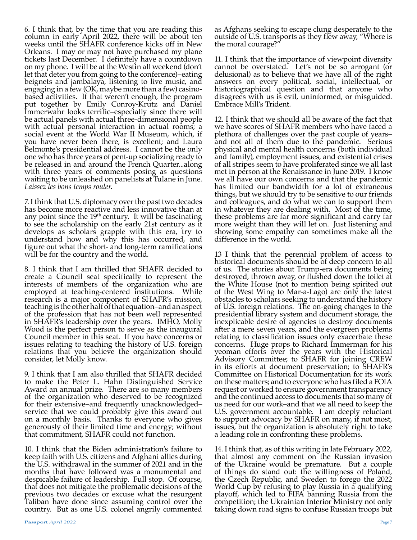6. I think that, by the time that you are reading this column in early April 2022, there will be about ten weeks until the SHAFR conference kicks off in New Orleans. I may or may not have purchased my plane tickets last December. I definitely have a countdown on my phone. I will be at the Westin all weekend (don't let that deter you from going to the conference)–eating beignets and jambalaya, listening to live music, and engaging in a few (OK, maybe more than a few) casinobased activities. If that weren't enough, the program put together by Emily Conroy-Krutz and Daniel Immerwahr looks terrific–especially since there will be actual panels with actual three-dimensional people with actual personal interaction in actual rooms; a social event at the World War II Museum, which, if you have never been there, is excellent; and Laura Belmonte's presidential address. I cannot be the only one who has three years of pent-up socializing ready to be released in and around the French Quarter...along with three years of comments posing as questions waiting to be unleashed on panelists at Tulane in June. *Laissez les bons temps rouler*.

7. I think that U.S. diplomacy over the past two decades has become more reactive and less innovative than at any point since the  $19<sup>th</sup>$  century. It will be fascinating to see the scholarship on the early 21st century as it develops as scholars grapple with this era, try to understand how and why this has occurred, and figure out what the short- and long-term ramifications will be for the country and the world.

8. I think that I am thrilled that SHAFR decided to create a Council seat specifically to represent the interests of members of the organization who are employed at teaching-centered institutions. While research is a major component of SHAFR's mission, teaching is the other half of that equation–and an aspect of the profession that has not been well represented in SHAFR's leadership over the years. IMHO, Molly Wood is the perfect person to serve as the inaugural Council member in this seat. If you have concerns or issues relating to teaching the history of U.S. foreign relations that you believe the organization should consider, let Molly know.

9. I think that I am also thrilled that SHAFR decided to make the Peter L. Hahn Distinguished Service Award an annual prize. There are so many members of the organization who deserved to be recognized for their extensive–and frequently unacknowledged– service that we could probably give this award out on a monthly basis. Thanks to everyone who gives generously of their limited time and energy; without that commitment, SHAFR could not function.

10. I think that the Biden administration's failure to keep faith with U.S. citizens and Afghani allies during the U.S. withdrawal in the summer of 2021 and in the months that have followed was a monumental and despicable failure of leadership. Full stop. Of course, that does not mitigate the problematic decisions of the previous two decades or excuse what the resurgent Taliban have done since assuming control over the country. But as one U.S. colonel angrily commented

as Afghans seeking to escape clung desperately to the outside of U.S. transports as they flew away, "Where is the moral courage?"

11. I think that the importance of viewpoint diversity cannot be overstated. Let's not be so arrogant (or delusional) as to believe that we have all of the right answers on every political, social, intellectual, or historiographical question and that anyone who disagrees with us is evil, uninformed, or misguided. Embrace Mill's Trident.

12. I think that we should all be aware of the fact that we have scores of SHAFR members who have faced a plethora of challenges over the past couple of years– and not all of them due to the pandemic. Serious physical and mental health concerns (both individual and family), employment issues, and existential crises of all stripes seem to have proliferated since we all last met in person at the Renaissance in June 2019. I know we all have our own concerns and that the pandemic has limited our bandwidth for a lot of extraneous things, but we should try to be sensitive to our friends and colleagues, and do what we can to support them in whatever they are dealing with. Most of the time, these problems are far more significant and carry far more weight than they will let on. Just listening and showing some empathy can sometimes make all the difference in the world.

13 I think that the perennial problem of access to historical documents should be of deep concern to all of us. The stories about Trump-era documents being destroyed, thrown away, or flushed down the toilet at the White House (not to mention being spirited out of the West Wing to Mar-a-Lago) are only the latest obstacles to scholars seeking to understand the history of U.S. foreign relations. The on-going changes to the presidential library system and document storage, the inexplicable desire of agencies to destroy documents after a mere seven years, and the evergreen problems relating to classification issues only exacerbate these concerns. Huge props to Richard Immerman for his yeoman efforts over the years with the Historical Advisory Committee; to SHAFR for joining CREW in its efforts at document preservation; to SHAFR's Committee on Historical Documentation for its work on these matters; and to everyone who has filed a FOIA request or worked to ensure government transparency and the continued access to documents that so many of us need for our work–and that we all need to keep the U.S. government accountable. I am deeply reluctant to support advocacy by SHAFR on many, if not most, issues, but the organization is absolutely right to take a leading role in confronting these problems.

14. I think that, as of this writing in late February 2022, that almost any comment on the Russian invasion of the Ukraine would be premature. But a couple of things do stand out: the willingness of Poland, the Czech Republic, and Sweden to forego the 2022 World Cup by refusing to play Russia in a qualifying playoff, which led to FIFA banning Russia from the competition; the Ukrainian Interior Ministry not only taking down road signs to confuse Russian troops but